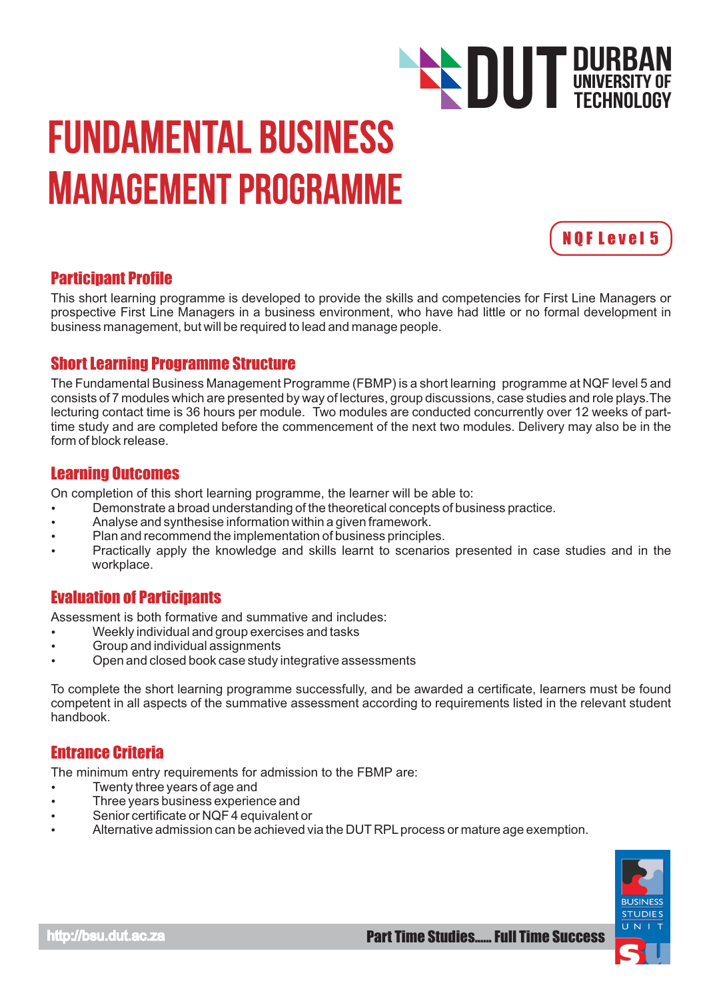# Fundamental Business Management Programme



TECHNOLOGY

**DUT DURBAN**<br>TECHNOLOGY

## Participant Profile

This short learning programme is developed to provide the skills and competencies for First Line Managers or prospective First Line Managers in a business environment, who have had little or no formal development in business management, but will be required to lead and manage people.

## Short Learning Programme Structure

The Fundamental Business Management Programme (FBMP) is a short learning programme at NQF level 5 and consists of 7 modules which are presented by way of lectures, group discussions, case studies and role plays.The lecturing contact time is 36 hours per module. Two modules are conducted concurrently over 12 weeks of parttime study and are completed before the commencement of the next two modules. Delivery may also be in the form of block release.

## Learning Outcomes

On completion of this short learning programme, the learner will be able to:

- $\bullet$  Demonstrate a broad understanding of the theoretical concepts of business practice.
- Analyse and synthesise information within a given framework.
- Plan and recommend the implementation of business principles.
- Practically apply the knowledge and skills learnt to scenarios presented in case studies and in the workplace.

## Evaluation of Participants

Assessment is both formative and summative and includes:

- Weekly individual and group exercises and tasks
- Group and individual assignments
- Open and closed book case study integrative assessments

To complete the short learning programme successfully, and be awarded a certificate, learners must be found competent in all aspects of the summative assessment according to requirements listed in the relevant student handbook.

## Entrance Criteria

The minimum entry requirements for admission to the FBMP are:

- Twenty three years of age and
- Three years business experience and
- Senior certificate or NQF 4 equivalent or
- Alternative admission can be achieved via the DUT RPL process or mature age exemption.